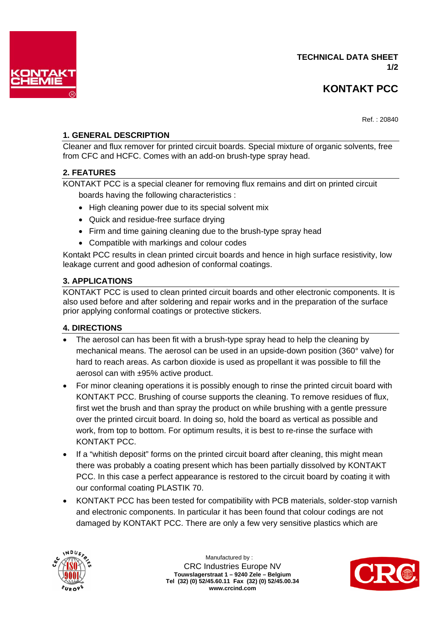

Ref. : 20840

# **1. GENERAL DESCRIPTION**

Cleaner and flux remover for printed circuit boards. Special mixture of organic solvents, free from CFC and HCFC. Comes with an add-on brush-type spray head.

## **2. FEATURES**

KONTAKT PCC is a special cleaner for removing flux remains and dirt on printed circuit boards having the following characteristics :

- High cleaning power due to its special solvent mix
- Quick and residue-free surface drying
- Firm and time gaining cleaning due to the brush-type spray head
- Compatible with markings and colour codes

Kontakt PCC results in clean printed circuit boards and hence in high surface resistivity, low leakage current and good adhesion of conformal coatings.

## **3. APPLICATIONS**

KONTAKT PCC is used to clean printed circuit boards and other electronic components. It is also used before and after soldering and repair works and in the preparation of the surface prior applying conformal coatings or protective stickers.

## **4. DIRECTIONS**

- The aerosol can has been fit with a brush-type spray head to help the cleaning by mechanical means. The aerosol can be used in an upside-down position (360° valve) for hard to reach areas. As carbon dioxide is used as propellant it was possible to fill the aerosol can with ±95% active product.
- For minor cleaning operations it is possibly enough to rinse the printed circuit board with KONTAKT PCC. Brushing of course supports the cleaning. To remove residues of flux, first wet the brush and than spray the product on while brushing with a gentle pressure over the printed circuit board. In doing so, hold the board as vertical as possible and work, from top to bottom. For optimum results, it is best to re-rinse the surface with KONTAKT PCC.
- If a "whitish deposit" forms on the printed circuit board after cleaning, this might mean there was probably a coating present which has been partially dissolved by KONTAKT PCC. In this case a perfect appearance is restored to the circuit board by coating it with our conformal coating PLASTIK 70.
- KONTAKT PCC has been tested for compatibility with PCB materials, solder-stop varnish and electronic components. In particular it has been found that colour codings are not damaged by KONTAKT PCC. There are only a few very sensitive plastics which are